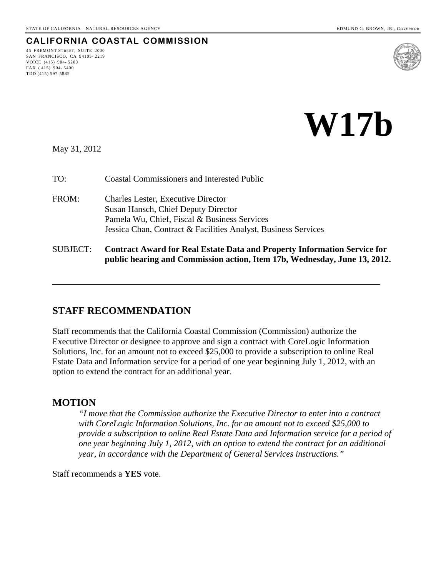**CALIFORNIA COASTAL COMMISSION**

# **W17b**

May 31, 2012

45 FREMONT STREET, SUITE 2000 SAN FRANCISCO, CA 94105- 2219 VOICE (415) 904- 5200  $FAX (415) 904 - 5400$ TDD (415) 597-5885

| <b>SUBJECT:</b> | <b>Contract Award for Real Estate Data and Property Information Service for</b><br>public hearing and Commission action, Item 17b, Wednesday, June 13, 2012.                                       |
|-----------------|----------------------------------------------------------------------------------------------------------------------------------------------------------------------------------------------------|
| FROM:           | <b>Charles Lester, Executive Director</b><br>Susan Hansch, Chief Deputy Director<br>Pamela Wu, Chief, Fiscal & Business Services<br>Jessica Chan, Contract & Facilities Analyst, Business Services |
| TO:             | <b>Coastal Commissioners and Interested Public</b>                                                                                                                                                 |

### **STAFF RECOMMENDATION**

Staff recommends that the California Coastal Commission (Commission) authorize the Executive Director or designee to approve and sign a contract with CoreLogic Information Solutions, Inc. for an amount not to exceed \$25,000 to provide a subscription to online Real Estate Data and Information service for a period of one year beginning July 1, 2012, with an option to extend the contract for an additional year.

#### **MOTION**

*"I move that the Commission authorize the Executive Director to enter into a contract with CoreLogic Information Solutions, Inc. for an amount not to exceed \$25,000 to provide a subscription to online Real Estate Data and Information service for a period of one year beginning July 1, 2012, with an option to extend the contract for an additional year, in accordance with the Department of General Services instructions."* 

Staff recommends a **YES** vote.